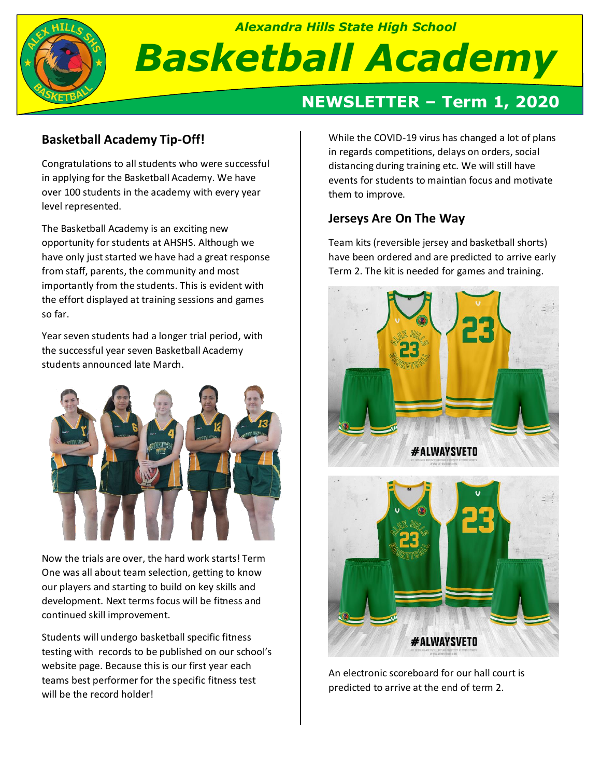

# **NEWSLETTER – Term 1, 2020**

# **Basketball Academy Tip-Off!**

Congratulations to all students who were successful in applying for the Basketball Academy. We have over 100 students in the academy with every year level represented.

The Basketball Academy is an exciting new opportunity for students at AHSHS. Although we have only just started we have had a great response from staff, parents, the community and most importantly from the students. This is evident with the effort displayed at training sessions and games so far.

Year seven students had a longer trial period, with the successful year seven Basketball Academy students announced late March.



Now the trials are over, the hard work starts! Term One was all about team selection, getting to know our players and starting to build on key skills and development. Next terms focus will be fitness and continued skill improvement.

Students will undergo basketball specific fitness testing with records to be published on our school's website page. Because this is our first year each teams best performer for the specific fitness test will be the record holder!

While the COVID-19 virus has changed a lot of plans in regards competitions, delays on orders, social distancing during training etc. We will still have events for students to maintian focus and motivate them to improve.

# **Jerseys Are On The Way**

Team kits (reversible jersey and basketball shorts) have been ordered and are predicted to arrive early Term 2. The kit is needed for games and training.





**#ALWAYSVETO**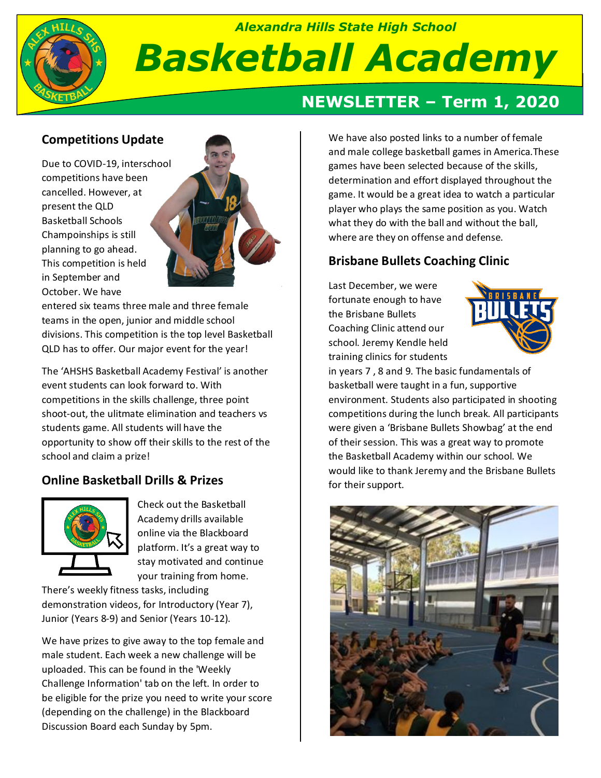

# **Competitions Update**

Due to COVID-19, interschool competitions have been cancelled. However, at present the QLD Basketball Schools Champoinships is still planning to go ahead. This competition is held in September and October. We have



entered six teams three male and three female teams in the open, junior and middle school divisions. This competition is the top level Basketball QLD has to offer. Our major event for the year!

The 'AHSHS Basketball Academy Festival' is another event students can look forward to. With competitions in the skills challenge, three point shoot-out, the ulitmate elimination and teachers vs students game. All students will have the opportunity to show off their skills to the rest of the school and claim a prize!

# **Online Basketball Drills & Prizes**



Check out the Basketball Academy drills available online via the Blackboard platform. It's a great way to stay motivated and continue your training from home.

There's weekly fitness tasks, including demonstration videos, for Introductory (Year 7), Junior (Years 8-9) and Senior (Years 10-12).

We have prizes to give away to the top female and male student. Each week a new challenge will be uploaded. This can be found in the 'Weekly Challenge Information' tab on the left. In order to be eligible for the prize you need to write your score (depending on the challenge) in the Blackboard Discussion Board each Sunday by 5pm.

# **NEWSLETTER – Term 1, 2020**

We have also posted links to a number of female and male college basketball games in America.These games have been selected because of the skills, determination and effort displayed throughout the game. It would be a great idea to watch a particular player who plays the same position as you. Watch what they do with the ball and without the ball, where are they on offense and defense.

#### **Brisbane Bullets Coaching Clinic**

Last December, we were fortunate enough to have the Brisbane Bullets Coaching Clinic attend our school. Jeremy Kendle held training clinics for students



in years 7 , 8 and 9. The basic fundamentals of basketball were taught in a fun, supportive environment. Students also participated in shooting competitions during the lunch break. All participants were given a 'Brisbane Bullets Showbag' at the end of their session. This was a great way to promote the Basketball Academy within our school. We would like to thank Jeremy and the Brisbane Bullets for their support.

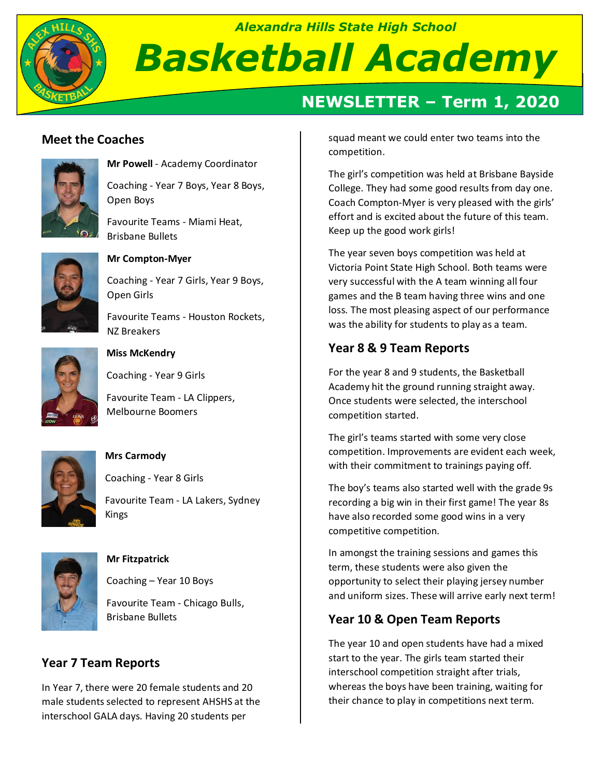

# **NEWSLETTER – Term 1, 2020**

### **Meet the Coaches**



**Mr Powell** - Academy Coordinator

Coaching - Year 7 Boys, Year 8 Boys, Open Boys

Favourite Teams - Miami Heat, Brisbane Bullets



#### **Mr Compton-Myer**

Coaching - Year 7 Girls, Year 9 Boys, Open Girls

Favourite Teams - Houston Rockets, NZ Breakers



#### **Miss McKendry**

Coaching - Year 9 Girls

Favourite Team - LA Clippers, Melbourne Boomers



#### **Mrs Carmody**

Coaching - Year 8 Girls

Favourite Team - LA Lakers, Sydney Kings



#### **Mr Fitzpatrick**

Coaching – Year 10 Boys

Favourite Team - Chicago Bulls, Brisbane Bullets

# **Year 7 Team Reports**

In Year 7, there were 20 female students and 20 male students selected to represent AHSHS at the interschool GALA days. Having 20 students per

squad meant we could enter two teams into the competition.

The girl's competition was held at Brisbane Bayside College. They had some good results from day one. Coach Compton-Myer is very pleased with the girls' effort and is excited about the future of this team. Keep up the good work girls!

The year seven boys competition was held at Victoria Point State High School. Both teams were very successful with the A team winning all four games and the B team having three wins and one loss. The most pleasing aspect of our performance was the ability for students to play as a team.

# **Year 8 & 9 Team Reports**

For the year 8 and 9 students, the Basketball Academy hit the ground running straight away. Once students were selected, the interschool competition started.

The girl's teams started with some very close competition. Improvements are evident each week, with their commitment to trainings paying off.

The boy's teams also started well with the grade 9s recording a big win in their first game! The year 8s have also recorded some good wins in a very competitive competition.

In amongst the training sessions and games this term, these students were also given the opportunity to select their playing jersey number and uniform sizes. These will arrive early next term!

# **Year 10 & Open Team Reports**

The year 10 and open students have had a mixed start to the year. The girls team started their interschool competition straight after trials, whereas the boys have been training, waiting for their chance to play in competitions next term.